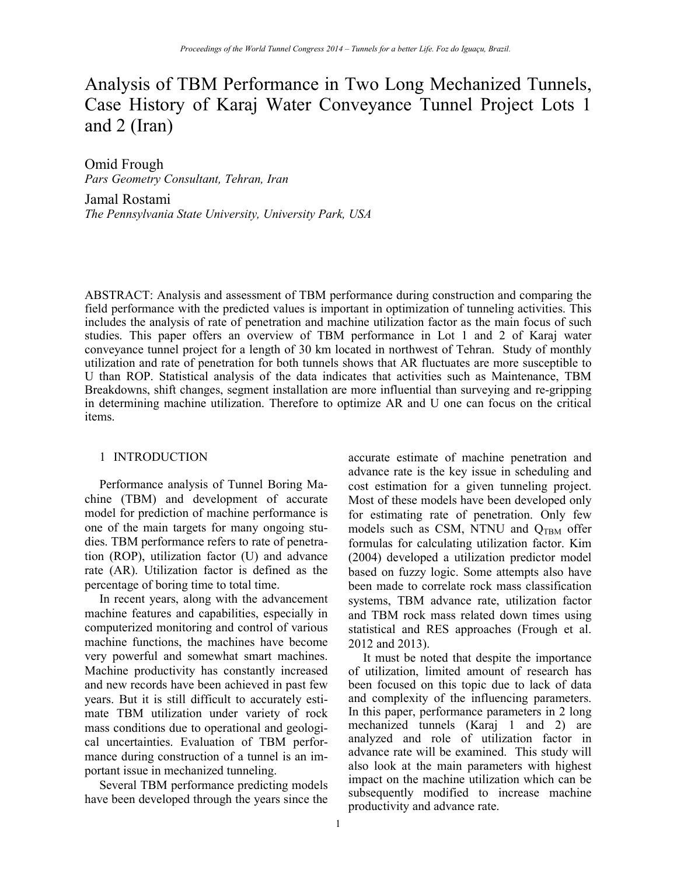# Analysis of TBM Performance in Two Long Mechanized Tunnels, Case History of Karaj Water Conveyance Tunnel Project Lots 1 and  $2$  (Iran)

Omid Frough Pars Geometry Consultant, Tehran, Iran

Jamal Rostami The Pennsylvania State University, University Park, USA

ABSTRACT: Analysis and assessment of TBM performance during construction and comparing the field performance with the predicted values is important in optimization of tunneling activities. This includes the analysis of rate of penetration and machine utilization factor as the main focus of such studies. This paper offers an overview of TBM performance in Lot 1 and 2 of Karaj water conveyance tunnel project for a length of 30 km located in northwest of Tehran. Study of monthly utilization and rate of penetration for both tunnels shows that AR fluctuates are more susceptible to U than ROP. Statistical analysis of the data indicates that activities such as Maintenance, TBM Breakdowns, shift changes, segment installation are more influential than surveying and re-gripping in determining machine utilization. Therefore to optimize AR and U one can focus on the critical items.

#### 1 INTRODUCTION

Performance analysis of Tunnel Boring Machine (TBM) and development of accurate model for prediction of machine performance is one of the main targets for many ongoing studies. TBM performance refers to rate of penetration (ROP), utilization factor (U) and advance rate (AR). Utilization factor is defined as the percentage of boring time to total time.

In recent years, along with the advancement machine features and capabilities, especially in computerized monitoring and control of various machine functions, the machines have become very powerful and somewhat smart machines. Machine productivity has constantly increased and new records have been achieved in past few years. But it is still difficult to accurately estimate TBM utilization under variety of rock mass conditions due to operational and geological uncertainties. Evaluation of TBM performance during construction of a tunnel is an important issue in mechanized tunneling.

Several TBM performance predicting models have been developed through the years since the accurate estimate of machine penetration and advance rate is the key issue in scheduling and cost estimation for a given tunneling project. Most of these models have been developed only for estimating rate of penetration. Only few models such as CSM, NTNU and QTBM offer formulas for calculating utilization factor. Kim (2004) developed a utilization predictor model based on fuzzy logic. Some attempts also have been made to correlate rock mass classification systems, TBM advance rate, utilization factor and TBM rock mass related down times using statistical and RES approaches (Frough et al. 2012 and 2013).

It must be noted that despite the importance of utilization, limited amount of research has been focused on this topic due to lack of data and complexity of the influencing parameters. In this paper, performance parameters in 2 long mechanized tunnels (Karaj 1 and 2) are analyzed and role of utilization factor in advance rate will be examined. This study will also look at the main parameters with highest impact on the machine utilization which can be subsequently modified to increase machine productivity and advance rate.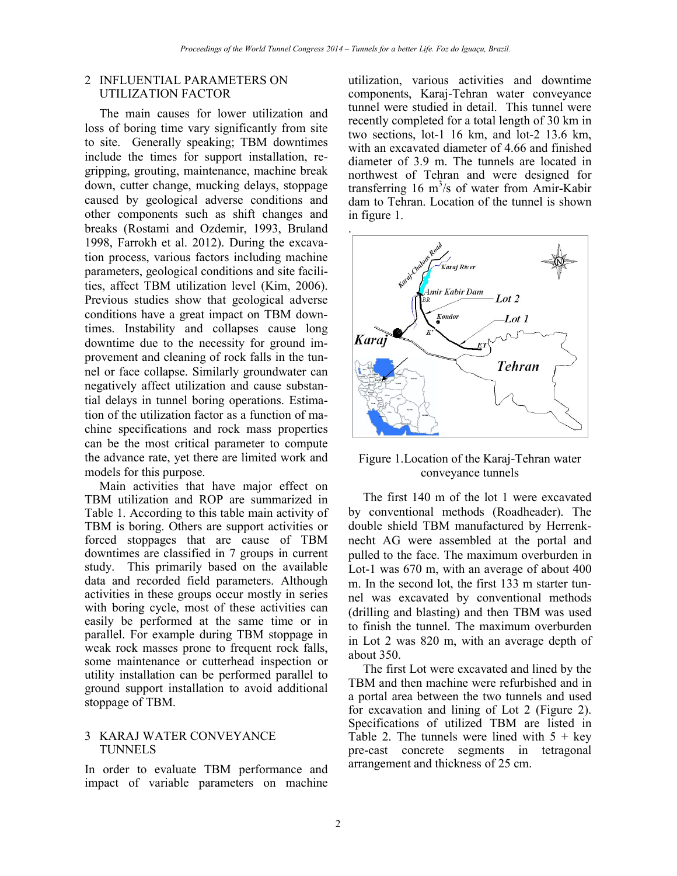# 2 INFLUENTIAL PARAMETERS ON UTILIZATION FACTOR

The main causes for lower utilization and loss of boring time vary significantly from site to site. Generally speaking; TBM downtimes include the times for support installation, regripping, grouting, maintenance, machine break down, cutter change, mucking delays, stoppage caused by geological adverse conditions and other components such as shift changes and breaks (Rostami and Ozdemir, 1993, Bruland 1998, Farrokh et al. 2012). During the excavation process, various factors including machine parameters, geological conditions and site facilities, affect TBM utilization level (Kim, 2006). Previous studies show that geological adverse conditions have a great impact on TBM downtimes. Instability and collapses cause long downtime due to the necessity for ground improvement and cleaning of rock falls in the tunnel or face collapse. Similarly groundwater can negatively affect utilization and cause substantial delays in tunnel boring operations. Estimation of the utilization factor as a function of machine specifications and rock mass properties can be the most critical parameter to compute the advance rate, yet there are limited work and models for this purpose.

Main activities that have major effect on TBM utilization and ROP are summarized in Table 1. According to this table main activity of TBM is boring. Others are support activities or forced stoppages that are cause of TBM downtimes are classified in 7 groups in current study. This primarily based on the available data and recorded field parameters. Although activities in these groups occur mostly in series with boring cycle, most of these activities can easily be performed at the same time or in parallel. For example during TBM stoppage in weak rock masses prone to frequent rock falls, some maintenance or cutterhead inspection or utility installation can be performed parallel to ground support installation to avoid additional stoppage of TBM.

## 3 KARAJ WATER CONVEYANCE **TUNNELS**

In order to evaluate TBM performance and impact of variable parameters on machine

utilization, various activities and downtime components, Karaj-Tehran water conveyance tunnel were studied in detail. This tunnel were recently completed for a total length of 30 km in two sections, lot-1 16 km, and lot-2 13.6 km, with an excavated diameter of 4.66 and finished diameter of 3.9 m. The tunnels are located in northwest of Tehran and were designed for transferring 16  $m^3$ /s of water from Amir-Kabir dam to Tehran. Location of the tunnel is shown in figure 1.



Figure 1. Location of the Karaj-Tehran water conveyance tunnels

The first 140 m of the lot 1 were excavated by conventional methods (Roadheader). The double shield TBM manufactured by Herrenknecht AG were assembled at the portal and pulled to the face. The maximum overburden in Lot-1 was 670 m, with an average of about 400 m. In the second lot, the first 133 m starter tunnel was excavated by conventional methods (drilling and blasting) and then TBM was used to finish the tunnel. The maximum overburden in Lot 2 was 820 m, with an average depth of about 350.

The first Lot were excavated and lined by the TBM and then machine were refurbished and in a portal area between the two tunnels and used for excavation and lining of Lot 2 (Figure 2). Specifications of utilized TBM are listed in Table 2. The tunnels were lined with  $5 + \text{key}$ pre-cast concrete segments in tetragonal arrangement and thickness of 25 cm.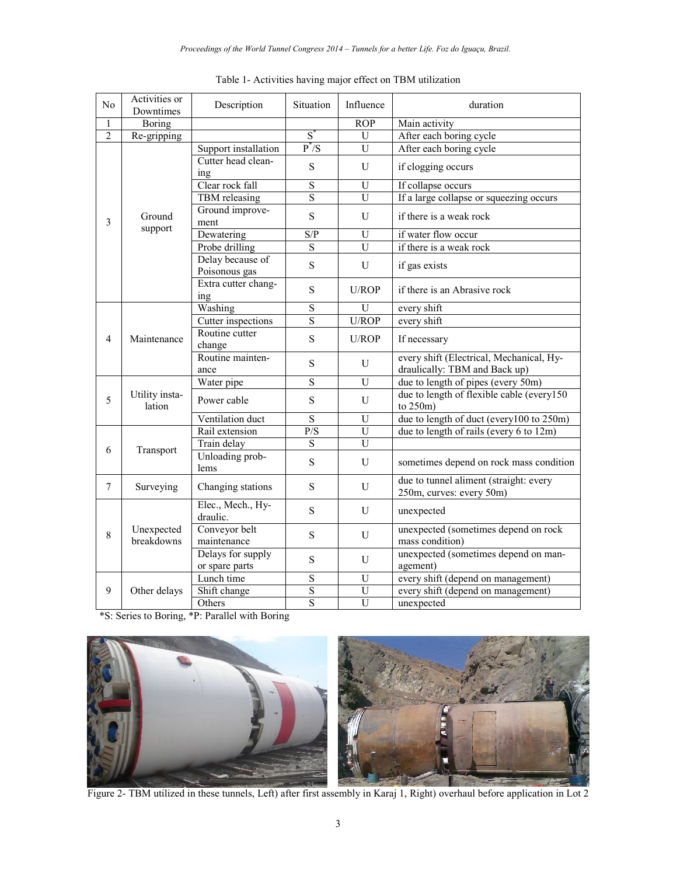| N <sub>0</sub> | Activities or<br>Downtimes | Description                         | Situation                                | Influence      | duration                                                                  |  |
|----------------|----------------------------|-------------------------------------|------------------------------------------|----------------|---------------------------------------------------------------------------|--|
| $\mathbf{1}$   | Boring                     |                                     |                                          | ROP            | Main activity                                                             |  |
| $\overline{2}$ | Re-gripping                |                                     | $S^*$                                    | U              | After each boring cycle                                                   |  |
|                | Ground<br>support          | Support installation                | $P^*$ /S                                 | U              | After each boring cycle                                                   |  |
|                |                            | Cutter head clean-<br>ing           | S                                        | U              | if clogging occurs                                                        |  |
|                |                            | Clear rock fall                     | $\overline{S}$                           | U              | If collapse occurs                                                        |  |
|                |                            | TBM releasing                       | S                                        | $\overline{U}$ | If a large collapse or squeezing occurs                                   |  |
| 3              |                            | Ground improve-<br>ment             | $\mathbf S$                              | U              | if there is a weak rock                                                   |  |
|                |                            | Dewatering                          | S/P                                      | U              | if water flow occur                                                       |  |
|                |                            | Probe drilling                      | $\overline{S}$                           | $\overline{U}$ | if there is a weak rock                                                   |  |
|                |                            | Delay because of<br>Poisonous gas   | S                                        | U              | if gas exists                                                             |  |
|                |                            | Extra cutter chang-<br>ing          | S                                        | U/ROP          | if there is an Abrasive rock                                              |  |
|                |                            | Washing                             | ${\bf S}$                                | U              | every shift                                                               |  |
|                | Maintenance                | Cutter inspections                  | $\overline{S}$                           | U/ROP          | every shift                                                               |  |
| $\overline{4}$ |                            | Routine cutter<br>change            | S                                        | U/ROP          | If necessary                                                              |  |
|                |                            | Routine mainten-<br>ance            | S                                        | U              | every shift (Electrical, Mechanical, Hy-<br>draulically: TBM and Back up) |  |
|                | Utility insta-<br>lation   | Water pipe                          | $\overline{S}$                           | U              | due to length of pipes (every 50m)                                        |  |
| 5              |                            | Power cable                         | S                                        | U              | due to length of flexible cable (every150<br>to $250m$ )                  |  |
|                |                            | S<br>U<br>Ventilation duct          | due to length of duct (every100 to 250m) |                |                                                                           |  |
|                |                            | Rail extension                      | $\overline{P/S}$                         | $\mathbf U$    | due to length of rails (every 6 to 12m)                                   |  |
|                |                            | Train delay                         | $\overline{S}$                           | $\overline{U}$ |                                                                           |  |
| 6              | Transport                  | Unloading prob-<br>lems             | S                                        | U              | sometimes depend on rock mass condition                                   |  |
| $\overline{7}$ | Surveying                  | Changing stations                   | S                                        | U              | due to tunnel aliment (straight: every<br>250m, curves: every 50m)        |  |
|                | Unexpected<br>breakdowns   | Elec., Mech., Hy-<br>draulic.       | S                                        | U              | unexpected                                                                |  |
| 8              |                            | Conveyor belt<br>maintenance        | S                                        | $\mathbf{U}$   | unexpected (sometimes depend on rock<br>mass condition)                   |  |
|                |                            | Delays for supply<br>or spare parts | S                                        | U              | unexpected (sometimes depend on man-<br>agement)                          |  |
|                |                            | Lunch time                          | S                                        | U              | every shift (depend on management)                                        |  |
| 9              | Other delays               | Shift change                        | S                                        | $\overline{U}$ | every shift (depend on management)                                        |  |
|                |                            | Others                              | $\overline{S}$                           | $\overline{U}$ | unexpected                                                                |  |

Table 1- Activities having major effect on TBM utilization

\*S: Series to Boring, \*P: Parallel with Boring



Figure 2- TBM utilized in these tunnels, Left) after first assembly in Karaj 1, Right) overhaul before application in Lot 2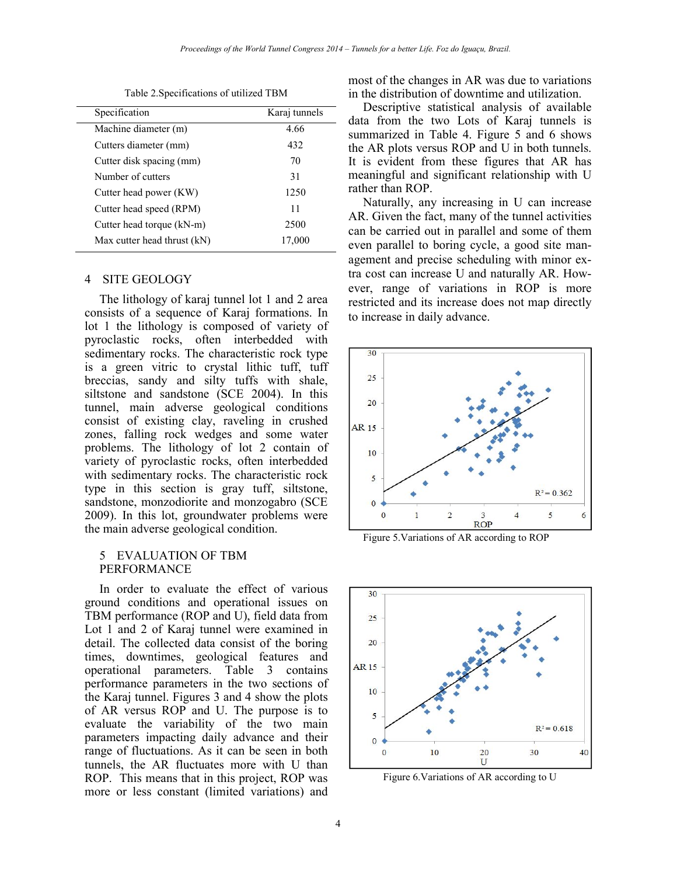Table 2.Specifications of utilized TBM

| Specification               | Karaj tunnels |
|-----------------------------|---------------|
| Machine diameter (m)        | 4.66          |
| Cutters diameter (mm)       | 432           |
| Cutter disk spacing (mm)    | 70            |
| Number of cutters           | 31            |
| Cutter head power (KW)      | 1250          |
| Cutter head speed (RPM)     | 11            |
| Cutter head torque (kN-m)   | 2500          |
| Max cutter head thrust (kN) | 17,000        |

#### 4 SITE GEOLOGY

The lithology of karaj tunnel lot 1 and 2 area consists of a sequence of Karaj formations. In lot 1 the lithology is composed of variety of pyroclastic rocks, often interbedded with sedimentary rocks. The characteristic rock type is a green vitric to crystal lithic tuff, tuff breccias, sandy and silty tuffs with shale, siltstone and sandstone (SCE 2004). In this tunnel, main adverse geological conditions consist of existing clay, raveling in crushed zones, falling rock wedges and some water problems. The lithology of lot 2 contain of variety of pyroclastic rocks, often interbedded with sedimentary rocks. The characteristic rock type in this section is gray tuff, siltstone, sandstone, monzodiorite and monzogabro (SCE) 2009). In this lot, groundwater problems were the main adverse geological condition.

### 5 EVALUATION OF TBM **PERFORMANCE**

In order to evaluate the effect of various ground conditions and operational issues on TBM performance (ROP and U), field data from Lot 1 and 2 of Karaj tunnel were examined in detail. The collected data consist of the boring times, downtimes, geological features and operational parameters. Table 3 contains performance parameters in the two sections of the Karaj tunnel. Figures 3 and 4 show the plots of AR versus ROP and U. The purpose is to evaluate the variability of the two main parameters impacting daily advance and their range of fluctuations. As it can be seen in both tunnels, the AR fluctuates more with U than ROP. This means that in this project, ROP was more or less constant (limited variations) and

most of the changes in AR was due to variations in the distribution of downtime and utilization.

Descriptive statistical analysis of available data from the two Lots of Karaj tunnels is summarized in Table 4. Figure 5 and 6 shows the AR plots versus ROP and U in both tunnels. It is evident from these figures that AR has meaningful and significant relationship with U rather than ROP.

Naturally, any increasing in  $U$  can increase AR. Given the fact, many of the tunnel activities can be carried out in parallel and some of them even parallel to boring cycle, a good site management and precise scheduling with minor extra cost can increase U and naturally AR. However, range of variations in ROP is more restricted and its increase does not map directly to increase in daily advance.



Figure 5. Variations of AR according to ROP



Figure 6. Variations of AR according to U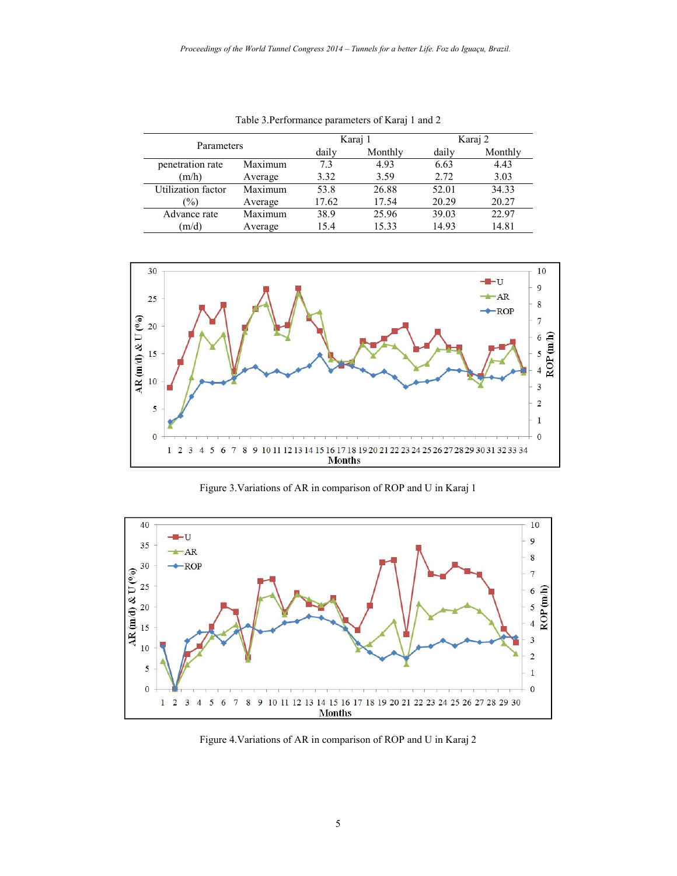| Parameters         |         |       | Karaj 1 | Karaj 2 |         |
|--------------------|---------|-------|---------|---------|---------|
|                    |         | daily | Monthly | daily   | Monthly |
| penetration rate   | Maximum | 73    | 4.93    | 6.63    | 4.43    |
| (m/h)              | Average | 3.32  | 3.59    | 2.72    | 3.03    |
| Utilization factor | Maximum | 53.8  | 26.88   | 52.01   | 34.33   |
| $\frac{1}{2}$      | Average | 17.62 | 17.54   | 20.29   | 20.27   |
| Advance rate       | Maximum | 38.9  | 25.96   | 39.03   | 22.97   |
| (m/d)              | Average | 15.4  | 15.33   | 14.93   | 14.81   |

Table 3.Performance parameters of Karaj 1 and 2



Figure 3. Variations of AR in comparison of ROP and U in Karaj 1



Figure 4. Variations of AR in comparison of ROP and U in Karaj 2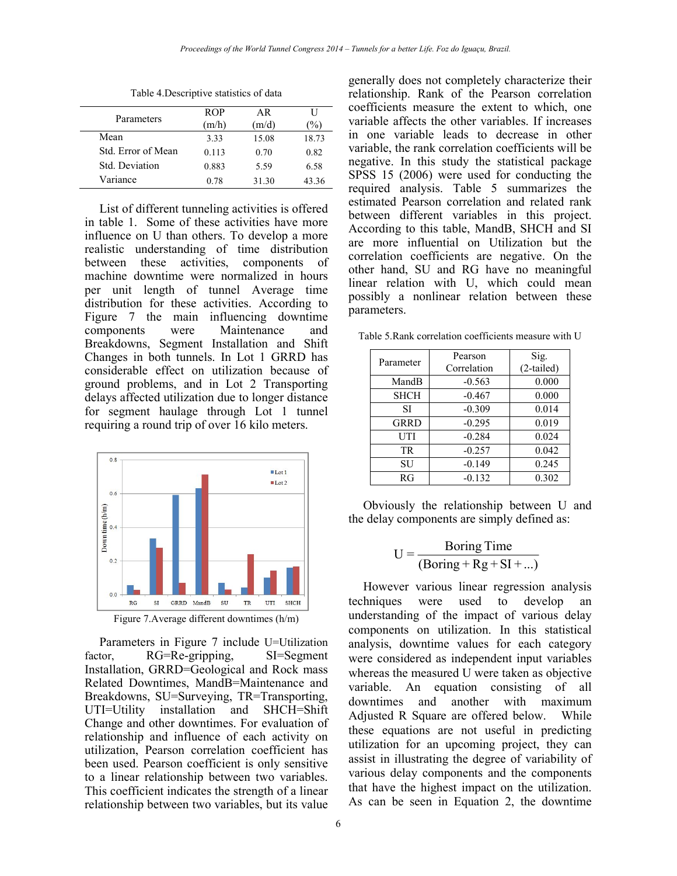| Parameters         | <b>ROP</b><br>(m/h) | AR<br>(m/d) | U<br>$\frac{1}{2}$ . |
|--------------------|---------------------|-------------|----------------------|
| Mean               | 3.33                | 15.08       | 18.73                |
| Std. Error of Mean | 0.113               | 0.70        | 0.82                 |
| Std. Deviation     | 0.883               | 5.59        | 6.58                 |
| Variance           | 0.78                | 31.30       | 43 36                |

Table 4. Descriptive statistics of data

List of different tunneling activities is offered in table 1. Some of these activities have more influence on U than others. To develop a more realistic understanding of time distribution between these activities, components of machine downtime were normalized in hours per unit length of tunnel Average time distribution for these activities. According to Figure 7 the main influencing downtime components were Maintenance and Breakdowns, Segment Installation and Shift Changes in both tunnels. In Lot 1 GRRD has considerable effect on utilization because of ground problems, and in Lot 2 Transporting delays affected utilization due to longer distance for segment haulage through Lot 1 tunnel requiring a round trip of over 16 kilo meters.



Figure 7. Average different downtimes  $(h/m)$ 

Parameters in Figure 7 include U=Utilization factor. RG=Re-gripping, SI=Segment Installation, GRRD=Geological and Rock mass Related Downtimes, MandB=Maintenance and Breakdowns, SU=Surveying, TR=Transporting, UTI=Utility installation and SHCH=Shift Change and other downtimes. For evaluation of relationship and influence of each activity on utilization. Pearson correlation coefficient has been used. Pearson coefficient is only sensitive to a linear relationship between two variables. This coefficient indicates the strength of a linear relationship between two variables, but its value

generally does not completely characterize their relationship. Rank of the Pearson correlation coefficients measure the extent to which, one variable affects the other variables. If increases in one variable leads to decrease in other variable, the rank correlation coefficients will be negative. In this study the statistical package SPSS 15 (2006) were used for conducting the required analysis. Table 5 summarizes the estimated Pearson correlation and related rank between different variables in this project. According to this table, MandB, SHCH and SI are more influential on Utilization but the correlation coefficients are negative. On the other hand, SU and RG have no meaningful linear relation with U, which could mean possibly a nonlinear relation between these parameters.

Table 5. Rank correlation coefficients measure with U

| Parameter   | Pearson     | Sig.       |  |
|-------------|-------------|------------|--|
|             | Correlation | (2-tailed) |  |
| MandB       | $-0.563$    | 0.000      |  |
| <b>SHCH</b> | $-0.467$    | 0.000      |  |
| SI          | $-0.309$    | 0.014      |  |
| <b>GRRD</b> | $-0.295$    | 0.019      |  |
| UTI         | $-0.284$    | 0.024      |  |
| TR          | $-0.257$    | 0.042      |  |
| SU          | $-0.149$    | 0.245      |  |
| RG          | $-0.132$    | 0.302      |  |

Obviously the relationship between U and the delay components are simply defined as:

$$
U = \frac{\text{Boring Time}}{(\text{Boring} + \text{Rg} + \text{SI} + \dots)}
$$

However various linear regression analysis techniques were used to develop an understanding of the impact of various delay components on utilization. In this statistical analysis, downtime values for each category were considered as independent input variables whereas the measured U were taken as objective variable. An equation consisting of all downtimes and another with maximum Adjusted R Square are offered below. While these equations are not useful in predicting utilization for an upcoming project, they can assist in illustrating the degree of variability of various delay components and the components that have the highest impact on the utilization. As can be seen in Equation 2, the downtime